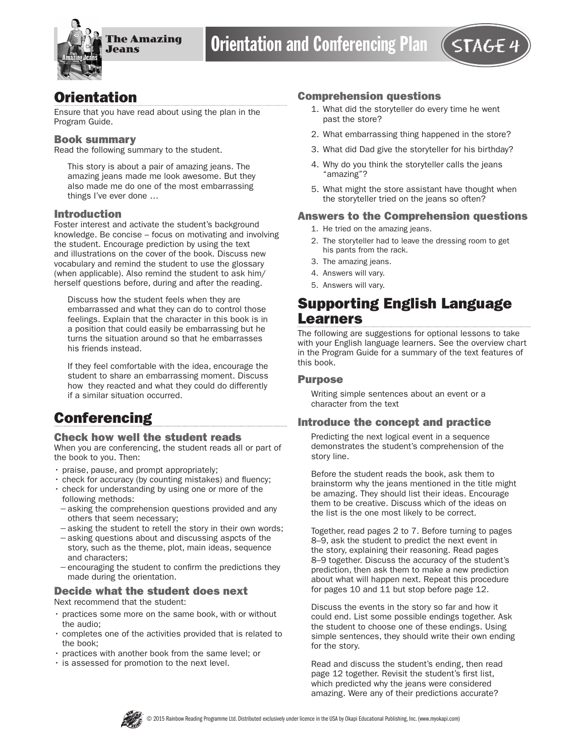

## **Orientation**

Ensure that you have read about using the plan in the Program Guide.

#### Book summary

Read the following summary to the student.

This story is about a pair of amazing jeans. The amazing jeans made me look awesome. But they also made me do one of the most embarrassing things I've ever done …

#### Introduction

Foster interest and activate the student's background knowledge. Be concise – focus on motivating and involving the student. Encourage prediction by using the text and illustrations on the cover of the book. Discuss new vocabulary and remind the student to use the glossary (when applicable). Also remind the student to ask him/ herself questions before, during and after the reading.

Discuss how the student feels when they are embarrassed and what they can do to control those feelings. Explain that the character in this book is in a position that could easily be embarrassing but he turns the situation around so that he embarrasses his friends instead.

If they feel comfortable with the idea, encourage the student to share an embarrassing moment. Discuss how they reacted and what they could do differently if a similar situation occurred.

## **Conferencing**

#### Check how well the student reads

When you are conferencing, the student reads all or part of the book to you. Then:

- praise, pause, and prompt appropriately;
- check for accuracy (by counting mistakes) and fluency;
- check for understanding by using one or more of the following methods:
- −asking the comprehension questions provided and any others that seem necessary;
- −asking the student to retell the story in their own words;
- −asking questions about and discussing aspcts of the story, such as the theme, plot, main ideas, sequence and characters;
- −encouraging the student to confirm the predictions they made during the orientation.

## Decide what the student does next

Next recommend that the student:

- practices some more on the same book, with or without the audio;
- completes one of the activities provided that is related to the book;
- practices with another book from the same level; or
- is assessed for promotion to the next level.

#### Comprehension questions

- 1. What did the storyteller do every time he went past the store?
- 2. What embarrassing thing happened in the store?
- 3. What did Dad give the storyteller for his birthday?
- 4. Why do you think the storyteller calls the jeans "amazing"?
- 5. What might the store assistant have thought when the storyteller tried on the jeans so often?

### Answers to the Comprehension questions

- 1. He tried on the amazing jeans.
- 2. The storyteller had to leave the dressing room to get his pants from the rack.
- 3. The amazing jeans.
- 4. Answers will vary.
- 5. Answers will vary.

## Supporting English Language Learners

The following are suggestions for optional lessons to take with your English language learners. See the overview chart in the Program Guide for a summary of the text features of this book.

#### **Purpose**

Writing simple sentences about an event or a character from the text

#### Introduce the concept and practice

Predicting the next logical event in a sequence demonstrates the student's comprehension of the story line.

Before the student reads the book, ask them to brainstorm why the jeans mentioned in the title might be amazing. They should list their ideas. Encourage them to be creative. Discuss which of the ideas on the list is the one most likely to be correct.

Together, read pages 2 to 7. Before turning to pages 8–9, ask the student to predict the next event in the story, explaining their reasoning. Read pages 8–9 together. Discuss the accuracy of the student's prediction, then ask them to make a new prediction about what will happen next. Repeat this procedure for pages 10 and 11 but stop before page 12.

Discuss the events in the story so far and how it could end. List some possible endings together. Ask the student to choose one of these endings. Using simple sentences, they should write their own ending for the story.

Read and discuss the student's ending, then read page 12 together. Revisit the student's first list, which predicted why the jeans were considered amazing. Were any of their predictions accurate?

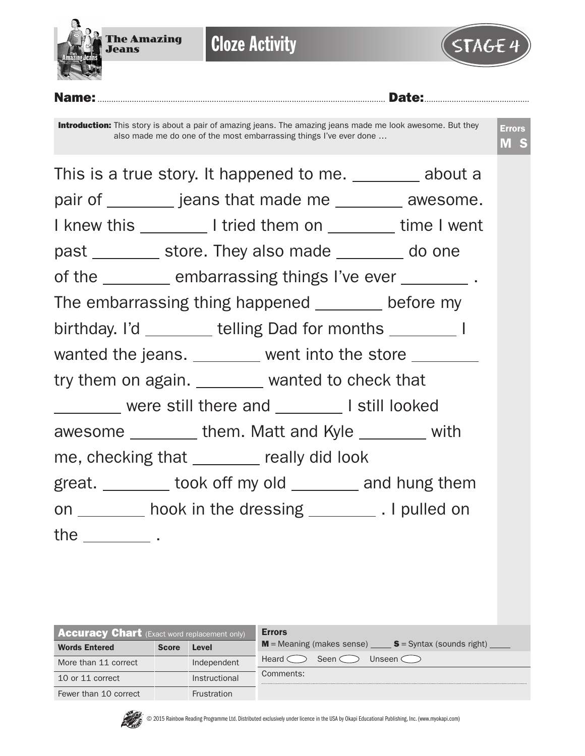

**Cloze Activity** 



Name:.............................................................................................................................. Date:.............................................. **Introduction:** This story is about a pair of amazing jeans. The amazing jeans made me look awesome. But they also made me do one of the most embarrassing things I've ever done … Errors M S This is a true story. It happened to me. \_\_\_\_\_\_\_\_ about a pair of \_\_\_\_\_\_\_\_ jeans that made me \_\_\_\_\_\_\_ awesome. I knew this I tried them on time I went past store. They also made do one of the embarrassing things I've ever . The embarrassing thing happened before my birthday. I'd \_\_\_\_\_\_\_\_ telling Dad for months \_\_\_\_\_\_\_\_ I wanted the jeans. \_\_\_\_\_\_\_ went into the store \_\_\_\_\_\_\_ try them on again. \_\_\_\_\_\_\_ wanted to check that were still there and I still looked awesome \_\_\_\_\_\_\_\_\_ them. Matt and Kyle \_\_\_\_\_\_\_\_ with me, checking that <u>really did look</u> great. <u>took</u> off my old and hung them on \_\_\_\_\_\_ hook in the dressing \_\_\_\_\_\_\_\_\_\_. I pulled on the  $\rule{1em}{0.15mm}$  .

| <b>Accuracy Chart</b> (Exact word replacement only) |              |                    | <b>Errors</b>                                                 |
|-----------------------------------------------------|--------------|--------------------|---------------------------------------------------------------|
| <b>Words Entered</b>                                | <b>Score</b> | Level              | <b>M</b> = Meaning (makes sense) $S = S$ yntax (sounds right) |
| More than 11 correct                                |              | Independent        | Heard o<br>Unseen $\subset$<br>Seen <                         |
| 10 or 11 correct                                    |              | Instructional      | Comments:                                                     |
| Fewer than 10 correct                               |              | <b>Frustration</b> |                                                               |



© 2015 Rainbow Reading Programme Ltd. Distributed exclusively under licence in the USA by Okapi Educational Publishing, Inc. (www.myokapi.com)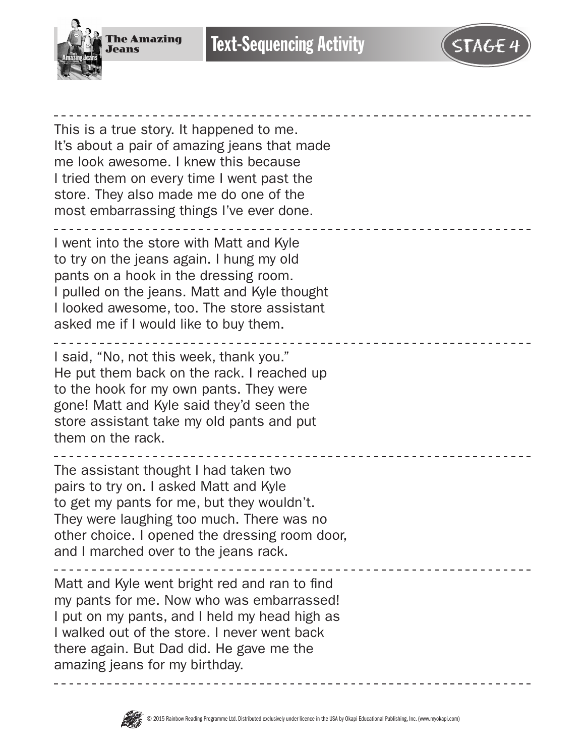

# **Text-Sequencing Activity**

This is a true story. It happened to me. It's about a pair of amazing jeans that made me look awesome. I knew this because I tried them on every time I went past the store. They also made me do one of the most embarrassing things I've ever done. I went into the store with Matt and Kyle to try on the jeans again. I hung my old pants on a hook in the dressing room. I pulled on the jeans. Matt and Kyle thought I looked awesome, too. The store assistant asked me if I would like to buy them. ---------------------I said, "No, not this week, thank you." He put them back on the rack. I reached up to the hook for my own pants. They were gone! Matt and Kyle said they'd seen the store assistant take my old pants and put them on the rack. The assistant thought I had taken two pairs to try on. I asked Matt and Kyle to get my pants for me, but they wouldn't. They were laughing too much. There was no other choice. I opened the dressing room door, and I marched over to the jeans rack. Matt and Kyle went bright red and ran to find my pants for me. Now who was embarrassed! I put on my pants, and I held my head high as I walked out of the store. I never went back there again. But Dad did. He gave me the amazing jeans for my birthday.

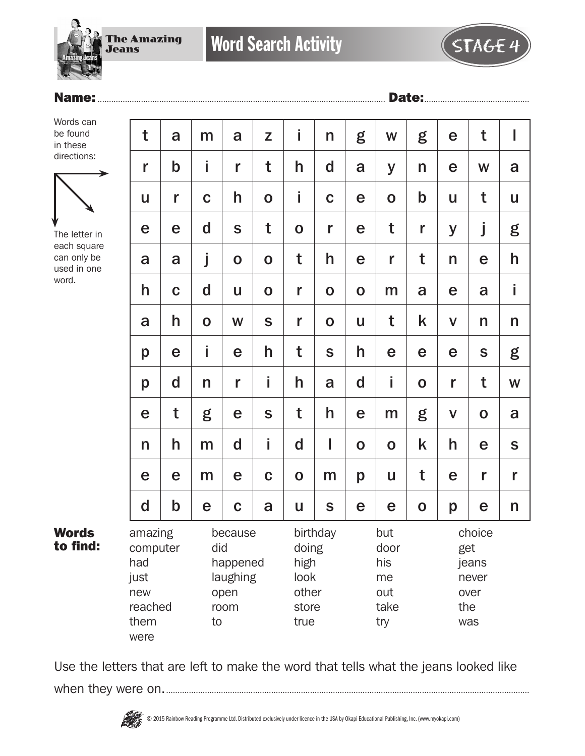The Amazing Jeans

Words can be found in these directions:



The letter in each square can only be used in one word.

Words to find:

| t                                                                    | a           | m            | a                                               | Z           | İ                                               | n           | g           | W                                              | g           | e            | t                                       | I            |
|----------------------------------------------------------------------|-------------|--------------|-------------------------------------------------|-------------|-------------------------------------------------|-------------|-------------|------------------------------------------------|-------------|--------------|-----------------------------------------|--------------|
| r                                                                    | $\mathbf b$ | i            | r                                               | t           | h                                               | $\mathbf d$ | a           | y                                              | n           | e            | W                                       | a            |
| U                                                                    | r           | $\mathbf C$  | h                                               | $\mathbf 0$ | İ                                               | $\mathbf C$ | e           | $\mathbf 0$                                    | $\mathbf b$ | U            | t                                       | U            |
| e                                                                    | e           | d            | $\mathbf S$                                     | t           | $\mathbf 0$                                     | r           | e           | t                                              | r           | y            | j                                       | g            |
| a                                                                    | a           | j            | $\mathbf O$                                     | $\mathbf 0$ | t                                               | h           | e           | r                                              | t           | n            | e                                       | h            |
| h                                                                    | $\mathbf C$ | d            | U                                               | $\mathbf 0$ | r                                               | $\mathbf 0$ | $\mathbf O$ | m                                              | a           | e            | a                                       | İ            |
| a                                                                    | h           | $\mathbf O$  | W                                               | S           | r                                               | $\mathbf 0$ | U           | t                                              | k           | $\mathsf{V}$ | n                                       | $\mathsf{n}$ |
| p                                                                    | e           | i            | e                                               | h           | t                                               | S           | h           | e                                              | e           | e            | S                                       | g            |
| p                                                                    | $\mathbf d$ | $\mathsf{n}$ | r                                               | İ.          | h                                               | a           | $\mathbf d$ | İ                                              | $\mathbf 0$ | r            | t                                       | W            |
| e                                                                    | t           | g            | e                                               | S           | t                                               | h           | e           | m                                              | g           | $\mathsf{V}$ | $\mathbf 0$                             | a            |
| $\mathsf{n}$                                                         | h           | m            | $\mathbf d$                                     | İ.          | $\mathbf d$                                     | I           | $\mathbf 0$ | $\mathbf O$                                    | k           | h            | e                                       | $\mathsf S$  |
| e                                                                    | e           | m            | e                                               | $\mathbf C$ | $\mathbf O$                                     | m           | p           | U                                              | t           | e            | r                                       | r            |
| $\mathsf{d}$                                                         | $\mathbf b$ | e            | $\mathbf C$                                     | a           | U                                               | S           | e           | e                                              | $\mathbf 0$ | p            | e                                       | n            |
| amazing<br>computer<br>had<br>just<br>new<br>reached<br>them<br>were |             | did<br>to    | because<br>happened<br>laughing<br>open<br>room |             | doing<br>high<br>look<br>other<br>store<br>true | birthday    |             | but<br>door<br>his<br>me<br>out<br>take<br>try |             | get<br>the   | choice<br>jeans<br>never<br>over<br>was |              |

Use the letters that are left to make the word that tells what the jeans looked like when they were on................................................................................................................................................................

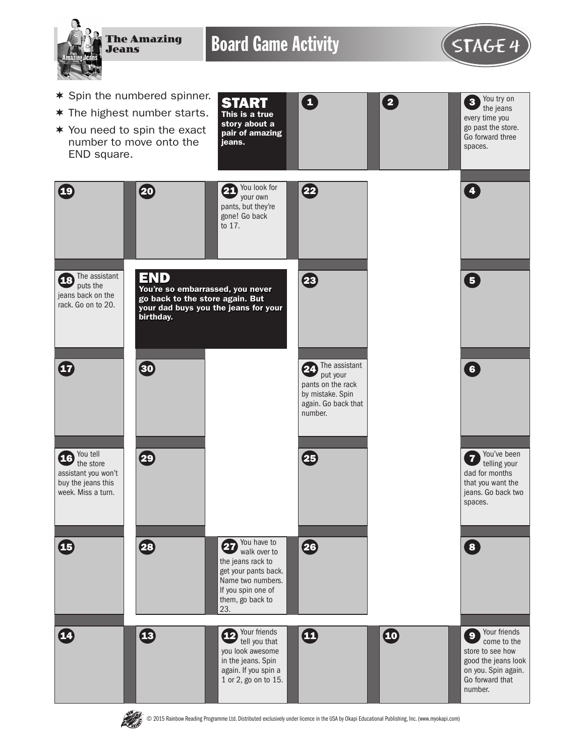

Board Game Activity **STAGE 4** 



 $\begin{array}{|c|c|c|c|}\n\hline\n2 & 3 \\
\hline\n\end{array}$ 

You try on the jeans every time you go past the store. Go forward three spaces.

- \* Spin the numbered spinner.
- $*$  The highest number starts.
- $*$  You need to spin the exact number to move onto the END square.
- START This is a true story about a pair of amazing jeans. 0



© 2015 Rainbow Reading Programme Ltd. Distributed exclusively under licence in the USA by Okapi Educational Publishing, Inc. (www.myokapi.com)